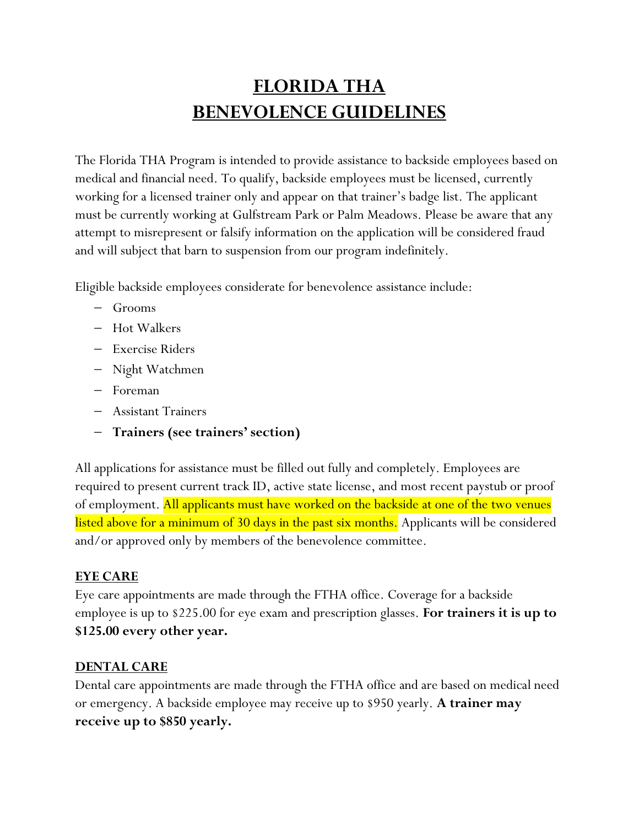# **FLORIDA THA BENEVOLENCE GUIDELINES**

The Florida THA Program is intended to provide assistance to backside employees based on medical and financial need. To qualify, backside employees must be licensed, currently working for a licensed trainer only and appear on that trainer's badge list. The applicant must be currently working at Gulfstream Park or Palm Meadows. Please be aware that any attempt to misrepresent or falsify information on the application will be considered fraud and will subject that barn to suspension from our program indefinitely.

Eligible backside employees considerate for benevolence assistance include:

- − Grooms
- − Hot Walkers
- − Exercise Riders
- − Night Watchmen
- − Foreman
- − Assistant Trainers
- − **Trainers (see trainers' section)**

All applications for assistance must be filled out fully and completely. Employees are required to present current track ID, active state license, and most recent paystub or proof of employment. All applicants must have worked on the backside at one of the two venues listed above for a minimum of 30 days in the past six months. Applicants will be considered and/or approved only by members of the benevolence committee.

## **EYE CARE**

Eye care appointments are made through the FTHA office. Coverage for a backside employee is up to \$225.00 for eye exam and prescription glasses. **For trainers it is up to \$125.00 every other year.**

#### **DENTAL CARE**

Dental care appointments are made through the FTHA office and are based on medical need or emergency. A backside employee may receive up to \$950 yearly. **A trainer may receive up to \$850 yearly.**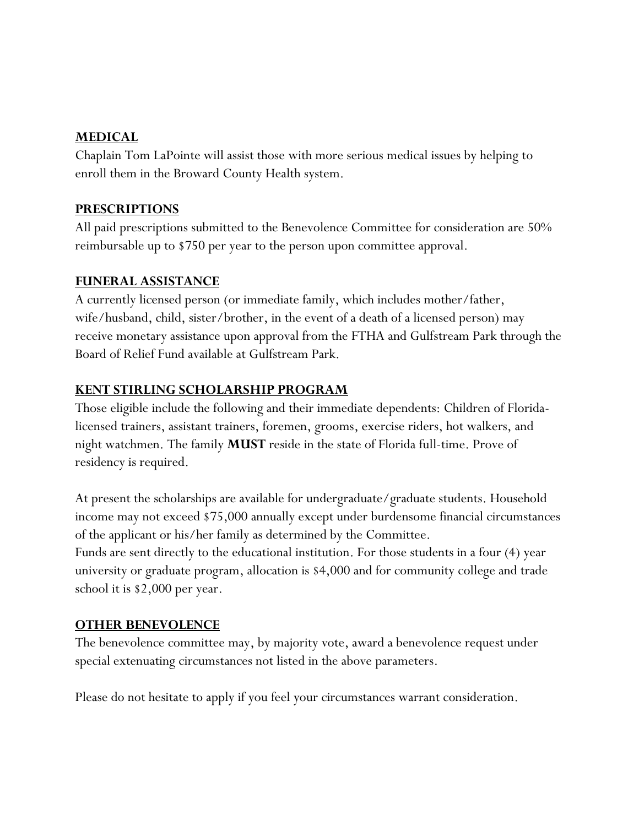#### **MEDICAL**

Chaplain Tom LaPointe will assist those with more serious medical issues by helping to enroll them in the Broward County Health system.

## **PRESCRIPTIONS**

All paid prescriptions submitted to the Benevolence Committee for consideration are 50% reimbursable up to \$750 per year to the person upon committee approval.

#### **FUNERAL ASSISTANCE**

A currently licensed person (or immediate family, which includes mother/father, wife/husband, child, sister/brother, in the event of a death of a licensed person) may receive monetary assistance upon approval from the FTHA and Gulfstream Park through the Board of Relief Fund available at Gulfstream Park.

## **KENT STIRLING SCHOLARSHIP PROGRAM**

Those eligible include the following and their immediate dependents: Children of Floridalicensed trainers, assistant trainers, foremen, grooms, exercise riders, hot walkers, and night watchmen. The family **MUST** reside in the state of Florida full-time. Prove of residency is required.

At present the scholarships are available for undergraduate/graduate students. Household income may not exceed \$75,000 annually except under burdensome financial circumstances of the applicant or his/her family as determined by the Committee. Funds are sent directly to the educational institution. For those students in a four (4) year university or graduate program, allocation is \$4,000 and for community college and trade school it is \$2,000 per year.

## **OTHER BENEVOLENCE**

The benevolence committee may, by majority vote, award a benevolence request under special extenuating circumstances not listed in the above parameters.

Please do not hesitate to apply if you feel your circumstances warrant consideration.